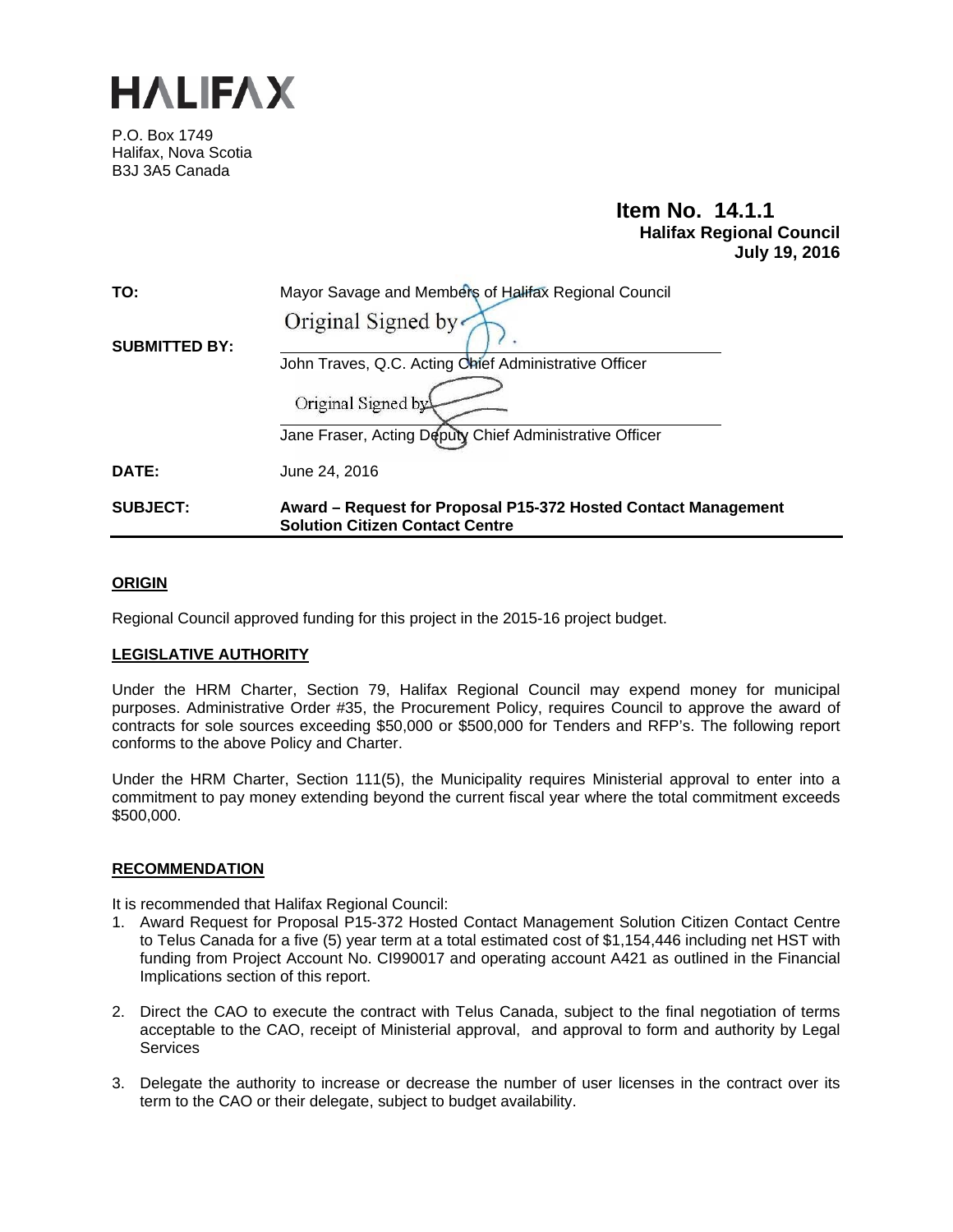

P.O. Box 1749 Halifax, Nova Scotia B3J 3A5 Canada

# **Item No. 14.1.1 Halifax Regional Council July 19, 2016**

| TO:                  | Mayor Savage and Members of Halifax Regional Council                                                     |
|----------------------|----------------------------------------------------------------------------------------------------------|
|                      | Original Signed by                                                                                       |
| <b>SUBMITTED BY:</b> |                                                                                                          |
|                      | John Traves, Q.C. Acting Chief Administrative Officer                                                    |
|                      | Original Signed by                                                                                       |
|                      | Jane Fraser, Acting Deputy Chief Administrative Officer                                                  |
| DATE:                | June 24, 2016                                                                                            |
| <b>SUBJECT:</b>      | Award - Request for Proposal P15-372 Hosted Contact Management<br><b>Solution Citizen Contact Centre</b> |

# **ORIGIN**

Regional Council approved funding for this project in the 2015-16 project budget.

### **LEGISLATIVE AUTHORITY**

Under the HRM Charter, Section 79, Halifax Regional Council may expend money for municipal purposes. Administrative Order #35, the Procurement Policy, requires Council to approve the award of contracts for sole sources exceeding \$50,000 or \$500,000 for Tenders and RFP's. The following report conforms to the above Policy and Charter.

Under the HRM Charter, Section 111(5), the Municipality requires Ministerial approval to enter into a commitment to pay money extending beyond the current fiscal year where the total commitment exceeds \$500,000.

### **RECOMMENDATION**

It is recommended that Halifax Regional Council:

- 1. Award Request for Proposal P15-372 Hosted Contact Management Solution Citizen Contact Centre to Telus Canada for a five (5) year term at a total estimated cost of \$1,154,446 including net HST with funding from Project Account No. CI990017 and operating account A421 as outlined in the Financial Implications section of this report.
- 2. Direct the CAO to execute the contract with Telus Canada, subject to the final negotiation of terms acceptable to the CAO, receipt of Ministerial approval, and approval to form and authority by Legal **Services**
- 3. Delegate the authority to increase or decrease the number of user licenses in the contract over its term to the CAO or their delegate, subject to budget availability.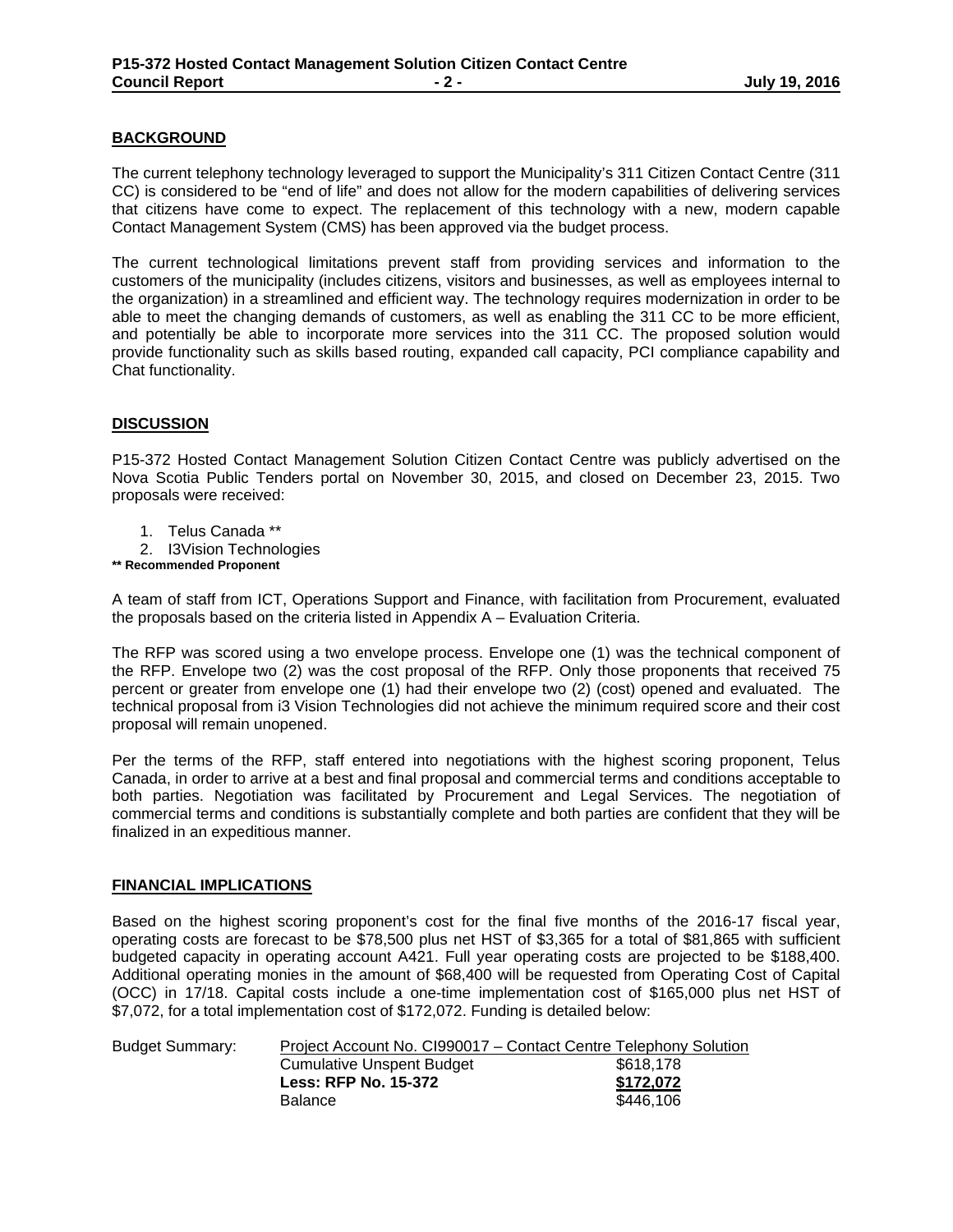## **BACKGROUND**

The current telephony technology leveraged to support the Municipality's 311 Citizen Contact Centre (311 CC) is considered to be "end of life" and does not allow for the modern capabilities of delivering services that citizens have come to expect. The replacement of this technology with a new, modern capable Contact Management System (CMS) has been approved via the budget process.

The current technological limitations prevent staff from providing services and information to the customers of the municipality (includes citizens, visitors and businesses, as well as employees internal to the organization) in a streamlined and efficient way. The technology requires modernization in order to be able to meet the changing demands of customers, as well as enabling the 311 CC to be more efficient, and potentially be able to incorporate more services into the 311 CC. The proposed solution would provide functionality such as skills based routing, expanded call capacity, PCI compliance capability and Chat functionality.

# **DISCUSSION**

P15-372 Hosted Contact Management Solution Citizen Contact Centre was publicly advertised on the Nova Scotia Public Tenders portal on November 30, 2015, and closed on December 23, 2015. Two proposals were received:

- 1. Telus Canada \*\*
- 2. I3Vision Technologies
- **\*\* Recommended Proponent**

A team of staff from ICT, Operations Support and Finance, with facilitation from Procurement, evaluated the proposals based on the criteria listed in Appendix A – Evaluation Criteria.

The RFP was scored using a two envelope process. Envelope one (1) was the technical component of the RFP. Envelope two (2) was the cost proposal of the RFP. Only those proponents that received 75 percent or greater from envelope one (1) had their envelope two (2) (cost) opened and evaluated. The technical proposal from i3 Vision Technologies did not achieve the minimum required score and their cost proposal will remain unopened.

Per the terms of the RFP, staff entered into negotiations with the highest scoring proponent, Telus Canada, in order to arrive at a best and final proposal and commercial terms and conditions acceptable to both parties. Negotiation was facilitated by Procurement and Legal Services. The negotiation of commercial terms and conditions is substantially complete and both parties are confident that they will be finalized in an expeditious manner.

### **FINANCIAL IMPLICATIONS**

Based on the highest scoring proponent's cost for the final five months of the 2016-17 fiscal year, operating costs are forecast to be \$78,500 plus net HST of \$3,365 for a total of \$81,865 with sufficient budgeted capacity in operating account A421. Full year operating costs are projected to be \$188,400. Additional operating monies in the amount of \$68,400 will be requested from Operating Cost of Capital (OCC) in 17/18. Capital costs include a one-time implementation cost of \$165,000 plus net HST of \$7,072, for a total implementation cost of \$172,072. Funding is detailed below:

| Project Account No. CI990017 – Contact Centre Telephony Solution |           |
|------------------------------------------------------------------|-----------|
| Cumulative Unspent Budget                                        | \$618.178 |
| <b>Less: RFP No. 15-372</b>                                      | \$172.072 |
| <b>Balance</b>                                                   | \$446,106 |
|                                                                  |           |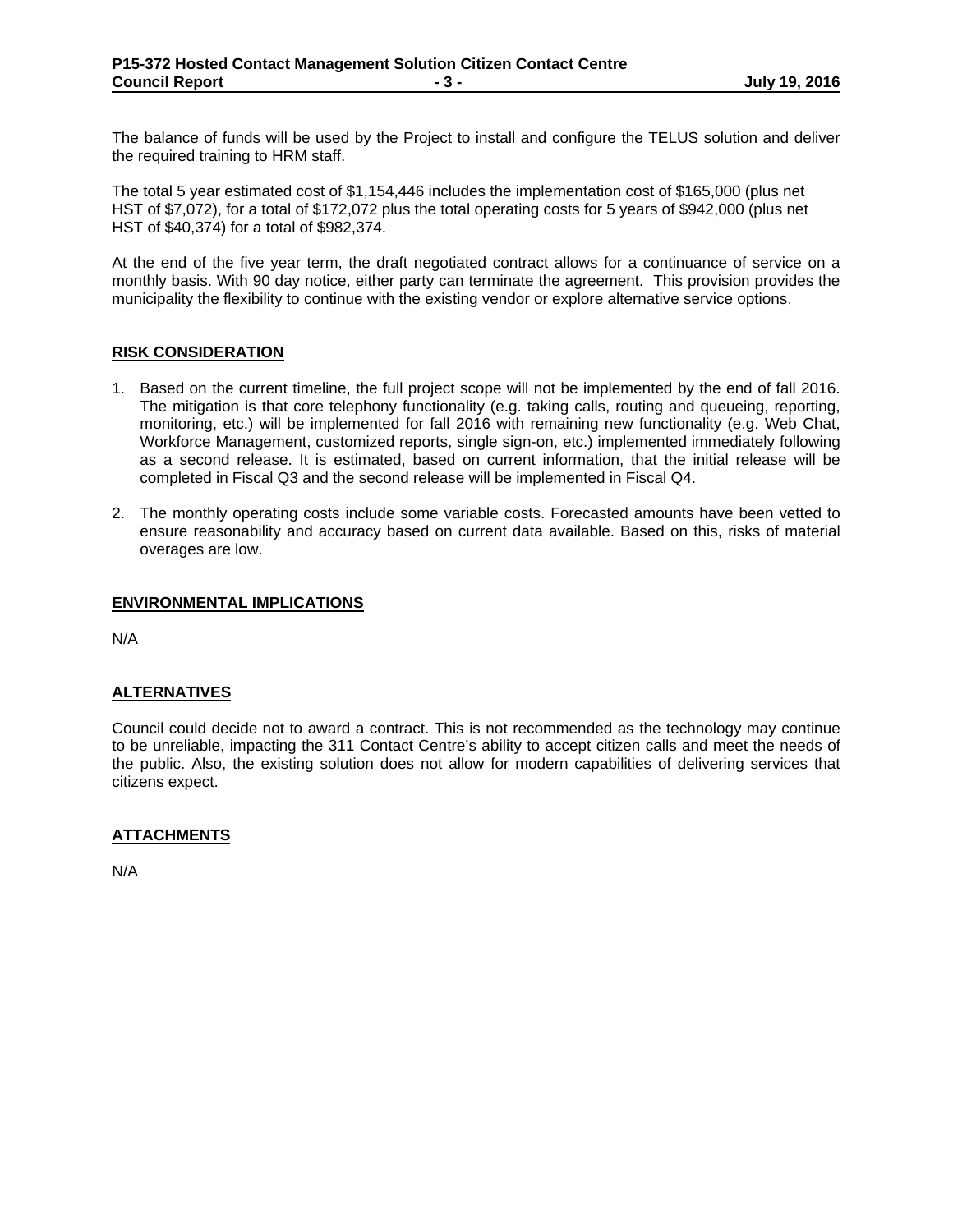The balance of funds will be used by the Project to install and configure the TELUS solution and deliver the required training to HRM staff.

The total 5 year estimated cost of \$1,154,446 includes the implementation cost of \$165,000 (plus net HST of \$7,072), for a total of \$172,072 plus the total operating costs for 5 years of \$942,000 (plus net HST of \$40,374) for a total of \$982,374.

At the end of the five year term, the draft negotiated contract allows for a continuance of service on a monthly basis. With 90 day notice, either party can terminate the agreement. This provision provides the municipality the flexibility to continue with the existing vendor or explore alternative service options.

#### **RISK CONSIDERATION**

- 1. Based on the current timeline, the full project scope will not be implemented by the end of fall 2016. The mitigation is that core telephony functionality (e.g. taking calls, routing and queueing, reporting, monitoring, etc.) will be implemented for fall 2016 with remaining new functionality (e.g. Web Chat, Workforce Management, customized reports, single sign-on, etc.) implemented immediately following as a second release. It is estimated, based on current information, that the initial release will be completed in Fiscal Q3 and the second release will be implemented in Fiscal Q4.
- 2. The monthly operating costs include some variable costs. Forecasted amounts have been vetted to ensure reasonability and accuracy based on current data available. Based on this, risks of material overages are low.

#### **ENVIRONMENTAL IMPLICATIONS**

N/A

### **ALTERNATIVES**

Council could decide not to award a contract. This is not recommended as the technology may continue to be unreliable, impacting the 311 Contact Centre's ability to accept citizen calls and meet the needs of the public. Also, the existing solution does not allow for modern capabilities of delivering services that citizens expect.

### **ATTACHMENTS**

N/A